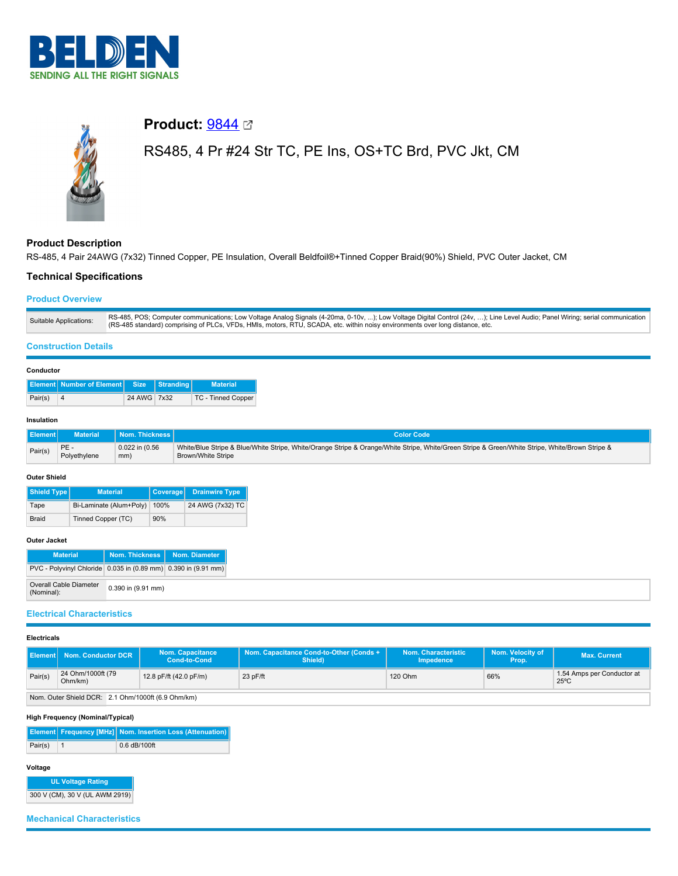

# **Product: [9844](https://catalog.belden.com/index.cfm?event=pd&p=PF_9844&tab=downloads) ⊡** RS485, 4 Pr #24 Str TC, PE Ins, OS+TC Brd, PVC Jkt, CM

# **Product Description**

RS-485, 4 Pair 24AWG (7x32) Tinned Copper, PE Insulation, Overall Beldfoil®+Tinned Copper Braid(90%) Shield, PVC Outer Jacket, CM

# **Technical Specifications**

# **Product Overview**

| Suitable Applications: | RS-485, POS; Computer communications; Low Voltage Analog Signals (4-20ma, 0-10v, ); Low Voltage Digital Control (24v, ); Line Level Audio; Panel Wiring; serial communication<br>(RS-485 standard) comprising of PLCs, VFDs, HMIs, motors, RTU, SCADA, etc. within noisy environments over long distance, etc. |
|------------------------|----------------------------------------------------------------------------------------------------------------------------------------------------------------------------------------------------------------------------------------------------------------------------------------------------------------|

#### **Construction Details**

# **Conductor**

| sonaactor |                                          |             |  |                           |  |  |  |
|-----------|------------------------------------------|-------------|--|---------------------------|--|--|--|
|           | Element Number of Element Size Stranding |             |  | <b>Material</b>           |  |  |  |
| Pair(s)   | 4                                        | 24 AWG 7x32 |  | <b>TC - Tinned Copper</b> |  |  |  |

#### **Insulation**

| Element <sup>1</sup> | <b>Material</b> | Nom. Thickness I    | <b>Color Code</b>                                                                                                                               |
|----------------------|-----------------|---------------------|-------------------------------------------------------------------------------------------------------------------------------------------------|
| Pair(s)              | PE-             | $0.022$ in $(0.56)$ | White/Blue Stripe & Blue/White Stripe, White/Orange Stripe & Orange/White Stripe, White/Green Stripe & Green/White Stripe, White/Brown Stripe & |
|                      | Polyethylene    | mm)                 | Brown/White Stripe                                                                                                                              |

#### **Outer Shield**

| <b>Shield Type</b> | <b>Material</b>         | Coverage | <b>Drainwire Type</b> |
|--------------------|-------------------------|----------|-----------------------|
| Tape               | Bi-Laminate (Alum+Poly) | 100%     | 24 AWG (7x32) TC      |
| Braid              | Tinned Copper (TC)      | 90%      |                       |

# **Outer Jacket**

| <b>Material</b>                                                |                        | Nom. Thickness   Nom. Diameter |
|----------------------------------------------------------------|------------------------|--------------------------------|
| PVC - Polyvinyl Chloride 0.035 in (0.89 mm) 0.390 in (9.91 mm) |                        |                                |
| Overall Cable Diameter<br>(Nominal):                           | $0.390$ in $(9.91$ mm) |                                |

# **Electrical Characteristics**

# **Electricals**

|                                         | <b>Element   Nom. Conductor DCR</b>                | <b>Nom. Capacitance</b><br><b>Cond-to-Cond</b> | Nom. Capacitance Cond-to-Other (Conds +<br>Shield) | Nom. Characteristic<br>Impedence | Nom. Velocity of<br>Prop.' | <b>Max. Current</b>                          |
|-----------------------------------------|----------------------------------------------------|------------------------------------------------|----------------------------------------------------|----------------------------------|----------------------------|----------------------------------------------|
| 24 Ohm/1000ft (79<br>Pair(s)<br>Ohm/km) |                                                    | 12.8 pF/ft (42.0 pF/m)                         | $23$ pF/ft                                         | 120 Ohm                          | 66%                        | 1.54 Amps per Conductor at<br>$25^{\circ}$ C |
|                                         | Nom, Outer Shield DCR: 2.1 Ohm/1000ft (6.9 Ohm/km) |                                                |                                                    |                                  |                            |                                              |

# **High Frequency (Nominal/Typical)**

**Element Frequency [MHz] Nom. Insertion Loss (Attenuation)** Pair(s) 1 0.6 dB/100ft

#### **Voltage**

**UL Voltage Rating** 300 V (CM), 30 V (UL AWM 2919)

**Mechanical Characteristics**